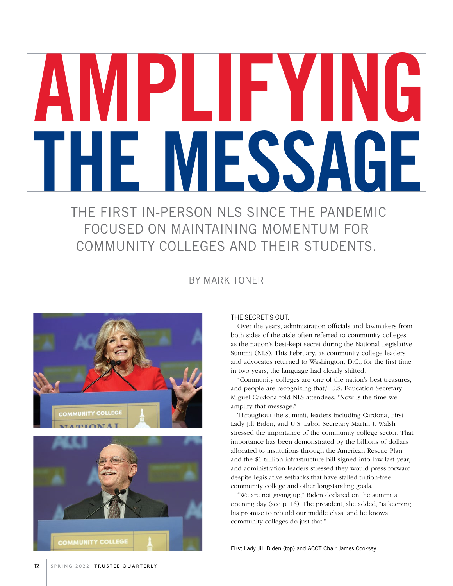# AMPLIFYING THE MESSAGE

 THE FIRST IN-PERSON NLS SINCE THE PANDEMIC FOCUSED ON MAINTAINING MOMENTUM FOR COMMUNITY COLLEGES AND THEIR STUDENTS.

#### BY MARK TONER



#### THE SECRET'S OUT.

Over the years, administration officials and lawmakers from both sides of the aisle often referred to community colleges as the nation's best-kept secret during the National Legislative Summit (NLS). This February, as community college leaders and advocates returned to Washington, D.C., for the first time in two years, the language had clearly shifted.

"Community colleges are one of the nation's best treasures, and people are recognizing that," U.S. Education Secretary Miguel Cardona told NLS attendees. "Now is the time we amplify that message."

Throughout the summit, leaders including Cardona, First Lady Jill Biden, and U.S. Labor Secretary Martin J. Walsh stressed the importance of the community college sector. That importance has been demonstrated by the billions of dollars allocated to institutions through the American Rescue Plan and the \$1 trillion infrastructure bill signed into law last year, and administration leaders stressed they would press forward despite legislative setbacks that have stalled tuition-free community college and other longstanding goals.

"We are not giving up," Biden declared on the summit's opening day (see p. 16). The president, she added, "is keeping his promise to rebuild our middle class, and he knows community colleges do just that."

First Lady Jill Biden (top) and ACCT Chair James Cooksey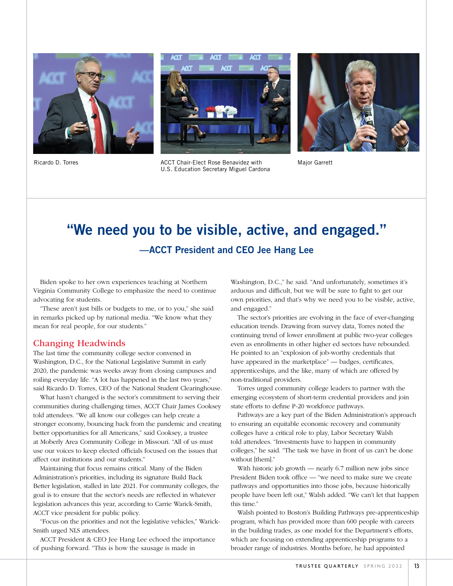





U.S. Education Secretary Miguel Cardona



Major Garrett

## "We need you to be visible, active, and engaged." —ACCT President and CEO Jee Hang Lee

Biden spoke to her own experiences teaching at Northern Virginia Community College to emphasize the need to continue advocating for students.

"These aren't just bills or budgets to me, or to you," she said in remarks picked up by national media. "We know what they mean for real people, for our students."

#### Changing Headwinds

The last time the community college sector convened in Washington, D.C., for the National Legislative Summit in early 2020, the pandemic was weeks away from closing campuses and roiling everyday life. "A lot has happened in the last two years," said Ricardo D. Torres, CEO of the National Student Clearinghouse.

What hasn't changed is the sector's commitment to serving their communities during challenging times, ACCT Chair James Cooksey told attendees. "We all know our colleges can help create a stronger economy, bouncing back from the pandemic and creating better opportunities for all Americans," said Cooksey, a trustee at Moberly Area Community College in Missouri. "All of us must use our voices to keep elected officials focused on the issues that affect our institutions and our students."

Maintaining that focus remains critical. Many of the Biden Administration's priorities, including its signature Build Back Better legislation, stalled in late 2021. For community colleges, the goal is to ensure that the sector's needs are reflected in whatever legislation advances this year, according to Carrie Warick-Smith, ACCT vice president for public policy.

"Focus on the priorities and not the legislative vehicles," Warick-Smith urged NLS attendees.

ACCT President & CEO Jee Hang Lee echoed the importance of pushing forward. "This is how the sausage is made in

Washington, D.C.," he said. "And unfortunately, sometimes it's arduous and difficult, but we will be sure to fight to get our own priorities, and that's why we need you to be visible, active, and engaged."

The sector's priorities are evolving in the face of ever-changing education trends. Drawing from survey data, Torres noted the continuing trend of lower enrollment at public two-year colleges even as enrollments in other higher ed sectors have rebounded. He pointed to an "explosion of job-worthy credentials that have appeared in the marketplace" — badges, certificates, apprenticeships, and the like, many of which are offered by non-traditional providers.

Torres urged community college leaders to partner with the emerging ecosystem of short-term credential providers and join state efforts to define P-20 workforce pathways.

Pathways are a key part of the Biden Administration's approach to ensuring an equitable economic recovery and community colleges have a critical role to play, Labor Secretary Walsh told attendees. "Investments have to happen in community colleges," he said. "The task we have in front of us can't be done without [them]."

With historic job growth — nearly 6.7 million new jobs since President Biden took office — "we need to make sure we create pathways and opportunities into those jobs, because historically people have been left out," Walsh added. "We can't let that happen this time."

Walsh pointed to Boston's Building Pathways pre-apprenticeship program, which has provided more than 600 people with careers in the building trades, as one model for the Department's efforts, which are focusing on extending apprenticeship programs to a broader range of industries. Months before, he had appointed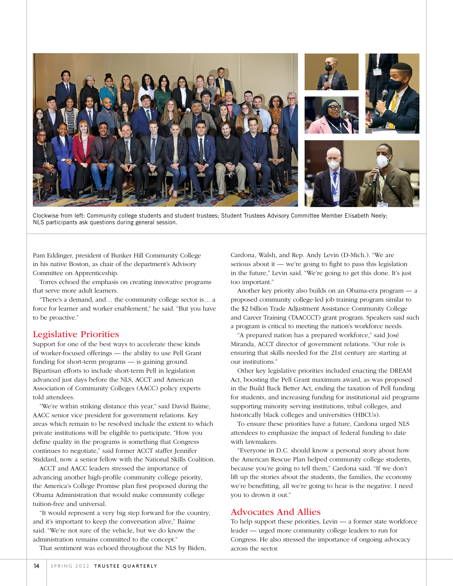

Clockwise from left: Community college students and student trustees; Student Trustees Advisory Committee Member Elisabeth Neely; NLS participants ask questions during general session.

Pam Eddinger, president of Bunker Hill Community College in his native Boston, as chair of the department's Advisory Committee on Apprenticeship.

Torres echoed the emphasis on creating innovative programs that serve more adult learners.

"There's a demand, and… the community college sector is… a force for learner and worker enablement," he said. "But you have to be proactive."

#### Legislative Priorities

Support for one of the best ways to accelerate these kinds of worker-focused offerings — the ability to use Pell Grant funding for short-term programs — is gaining ground. Bipartisan efforts to include short-term Pell in legislation advanced just days before the NLS, ACCT and American Association of Community Colleges (AACC) policy experts told attendees.

"We're within striking distance this year," said David Baime, AACC senior vice president for government relations. Key areas which remain to be resolved include the extent to which private institutions will be eligible to participate. "How you define quality in the programs is something that Congress continues to negotiate," said former ACCT staffer Jennifer Stiddard, now a senior fellow with the National Skills Coalition.

ACCT and AACC leaders stressed the importance of advancing another high-profile community college priority, the America's College Promise plan first proposed during the Obama Administration that would make community college tuition-free and universal.

"It would represent a very big step forward for the country, and it's important to keep the conversation alive," Baime said. "We're not sure of the vehicle, but we do know the administration remains committed to the concept."

That sentiment was echoed throughout the NLS by Biden,

Cardona, Walsh, and Rep. Andy Levin (D-Mich.). "We are serious about it — we're going to fight to pass this legislation in the future," Levin said. "We're going to get this done. It's just too important."

Another key priority also builds on an Obama-era program — a proposed community college-led job training program similar to the \$2 billion Trade Adjustment Assistance Community College and Career Training (TAACCCT) grant program. Speakers said such a program is critical to meeting the nation's workforce needs.

"A prepared nation has a prepared workforce," said José Miranda, ACCT director of government relations. "Our role is ensuring that skills needed for the 21st century are starting at our institutions."

Other key legislative priorities included enacting the DREAM Act, boosting the Pell Grant maximum award, as was proposed in the Build Back Better Act, ending the taxation of Pell funding for students, and increasing funding for institutional aid programs supporting minority serving institutions, tribal colleges, and historically black colleges and universities (HBCUs).

To ensure these priorities have a future, Cardona urged NLS attendees to emphasize the impact of federal funding to date with lawmakers.

"Everyone in D.C. should know a personal story about how the American Rescue Plan helped community college students, because you're going to tell them," Cardona said. "If we don't lift up the stories about the students, the families, the economy we're benefitting, all we're going to hear is the negative. I need you to drown it out."

#### Advocates And Allies

To help support these priorities, Levin — a former state workforce leader — urged more community college leaders to run for Congress. He also stressed the importance of ongoing advocacy across the sector.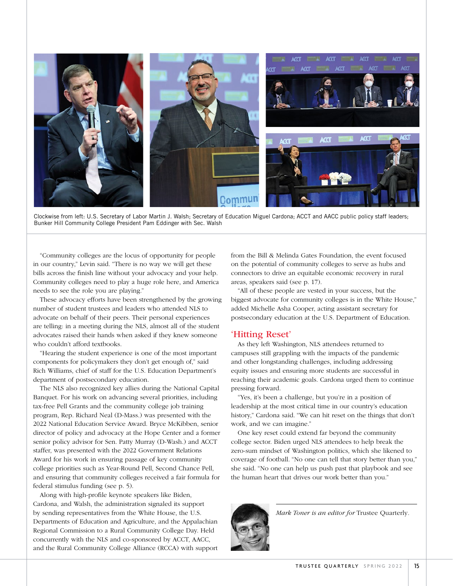

Clockwise from left: U.S. Secretary of Labor Martin J. Walsh; Secretary of Education Miguel Cardona; ACCT and AACC public policy staff leaders; Bunker Hill Community College President Pam Eddinger with Sec. Walsh

"Community colleges are the locus of opportunity for people in our country," Levin said. "There is no way we will get these bills across the finish line without your advocacy and your help. Community colleges need to play a huge role here, and America needs to see the role you are playing."

These advocacy efforts have been strengthened by the growing number of student trustees and leaders who attended NLS to advocate on behalf of their peers. Their personal experiences are telling: in a meeting during the NLS, almost all of the student advocates raised their hands when asked if they knew someone who couldn't afford textbooks.

"Hearing the student experience is one of the most important components for policymakers they don't get enough of," said Rich Williams, chief of staff for the U.S. Education Department's department of postsecondary education.

The NLS also recognized key allies during the National Capital Banquet. For his work on advancing several priorities, including tax-free Pell Grants and the community college job training program, Rep. Richard Neal (D-Mass.) was presented with the 2022 National Education Service Award. Bryce McKibben, senior director of policy and advocacy at the Hope Center and a former senior policy advisor for Sen. Patty Murray (D-Wash.) and ACCT staffer, was presented with the 2022 Government Relations Award for his work in ensuring passage of key community college priorities such as Year-Round Pell, Second Chance Pell, and ensuring that community colleges received a fair formula for federal stimulus funding (see p. 5).

Along with high-profile keynote speakers like Biden, Cardona, and Walsh, the administration signaled its support by sending representatives from the White House, the U.S. Departments of Education and Agriculture, and the Appalachian Regional Commission to a Rural Community College Day. Held concurrently with the NLS and co-sponsored by ACCT, AACC, and the Rural Community College Alliance (RCCA) with support from the Bill & Melinda Gates Foundation, the event focused on the potential of community colleges to serve as hubs and connectors to drive an equitable economic recovery in rural areas, speakers said (see p. 17).

"All of these people are vested in your success, but the biggest advocate for community colleges is in the White House," added Michelle Asha Cooper, acting assistant secretary for postsecondary education at the U.S. Department of Education.

#### 'Hitting Reset'

As they left Washington, NLS attendees returned to campuses still grappling with the impacts of the pandemic and other longstanding challenges, including addressing equity issues and ensuring more students are successful in reaching their academic goals. Cardona urged them to continue pressing forward.

"Yes, it's been a challenge, but you're in a position of leadership at the most critical time in our country's education history," Cardona said. "We can hit reset on the things that don't work, and we can imagine."

One key reset could extend far beyond the community college sector. Biden urged NLS attendees to help break the zero-sum mindset of Washington politics, which she likened to coverage of football. "No one can tell that story better than you," she said. "No one can help us push past that playbook and see the human heart that drives our work better than you."



*Mark Toner is an editor for* Trustee Quarterly*.*